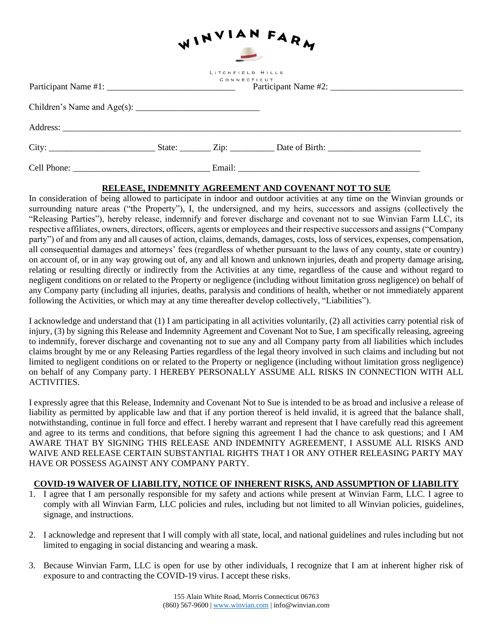| WINVIAN FARM |  |                                 |  |  |
|--------------|--|---------------------------------|--|--|
|              |  | LITCHFIELD HILLS<br>CONNECTICUT |  |  |
|              |  |                                 |  |  |
|              |  |                                 |  |  |
|              |  |                                 |  |  |
|              |  |                                 |  |  |

## **RELEASE, INDEMNITY AGREEMENT AND COVENANT NOT TO SUE**

In consideration of being allowed to participate in indoor and outdoor activities at any time on the Winvian grounds or surrounding nature areas ("the Property"), I, the undersigned, and my heirs, successors and assigns (collectively the "Releasing Parties"), hereby release, indemnify and forever discharge and covenant not to sue Winvian Farm LLC, its respective affiliates, owners, directors, officers, agents or employees and their respective successors and assigns ("Company party") of and from any and all causes of action, claims, demands, damages, costs, loss of services, expenses, compensation, all consequential damages and attorneys' fees (regardless of whether pursuant to the laws of any county, state or country) on account of, or in any way growing out of, any and all known and unknown injuries, death and property damage arising, relating or resulting directly or indirectly from the Activities at any time, regardless of the cause and without regard to negligent conditions on or related to the Property or negligence (including without limitation gross negligence) on behalf of any Company party (including all injuries, deaths, paralysis and conditions of health, whether or not immediately apparent following the Activities, or which may at any time thereafter develop collectively, "Liabilities").

I acknowledge and understand that (1) I am participating in all activities voluntarily, (2) all activities carry potential risk of injury, (3) by signing this Release and Indemnity Agreement and Covenant Not to Sue, I am specifically releasing, agreeing to indemnify, forever discharge and covenanting not to sue any and all Company party from all liabilities which includes claims brought by me or any Releasing Parties regardless of the legal theory involved in such claims and including but not limited to negligent conditions on or related to the Property or negligence (including without limitation gross negligence) on behalf of any Company party. I HEREBY PERSONALLY ASSUME ALL RISKS IN CONNECTION WITH ALL ACTIVITIES.

I expressly agree that this Release, Indemnity and Covenant Not to Sue is intended to be as broad and inclusive a release of liability as permitted by applicable law and that if any portion thereof is held invalid, it is agreed that the balance shall, notwithstanding, continue in full force and effect. I hereby warrant and represent that I have carefully read this agreement and agree to its terms and conditions, that before signing this agreement I had the chance to ask questions; and I AM AWARE THAT BY SIGNING THIS RELEASE AND INDEMNITY AGREEMENT, I ASSUME ALL RISKS AND WAIVE AND RELEASE CERTAIN SUBSTANTIAL RIGHTS THAT I OR ANY OTHER RELEASING PARTY MAY HAVE OR POSSESS AGAINST ANY COMPANY PARTY.

## **COVID-19 WAIVER OF LIABILITY, NOTICE OF INHERENT RISKS, AND ASSUMPTION OF LIABILITY**

- 1. I agree that I am personally responsible for my safety and actions while present at Winvian Farm, LLC. I agree to comply with all Winvian Farm, LLC policies and rules, including but not limited to all Winvian policies, guidelines, signage, and instructions.
- 2. I acknowledge and represent that I will comply with all state, local, and national guidelines and rules including but not limited to engaging in social distancing and wearing a mask.
- 3. Because Winvian Farm, LLC is open for use by other individuals, I recognize that I am at inherent higher risk of exposure to and contracting the COVID-19 virus. I accept these risks.